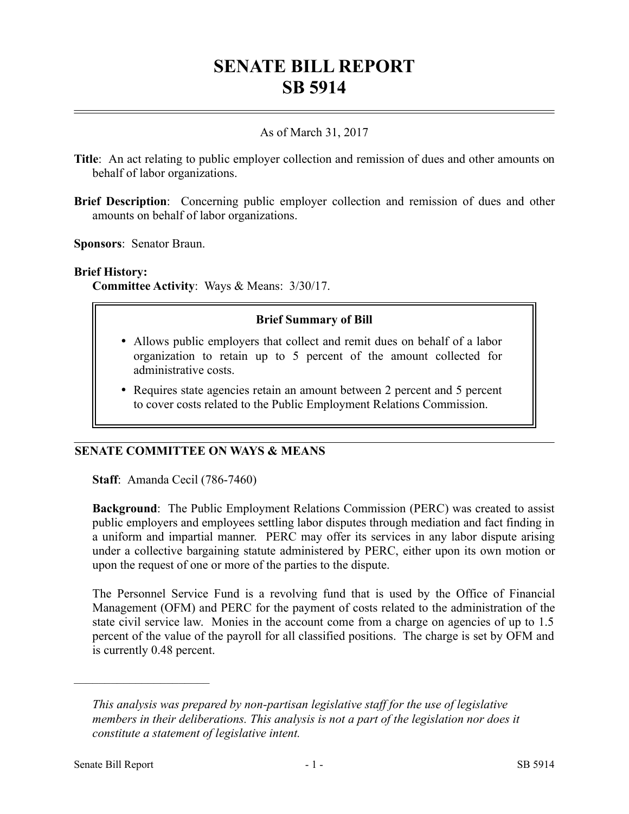# **SENATE BILL REPORT SB 5914**

# As of March 31, 2017

- **Title**: An act relating to public employer collection and remission of dues and other amounts on behalf of labor organizations.
- **Brief Description**: Concerning public employer collection and remission of dues and other amounts on behalf of labor organizations.

**Sponsors**: Senator Braun.

#### **Brief History:**

**Committee Activity**: Ways & Means: 3/30/17.

#### **Brief Summary of Bill**

- Allows public employers that collect and remit dues on behalf of a labor organization to retain up to 5 percent of the amount collected for administrative costs.
- Requires state agencies retain an amount between 2 percent and 5 percent to cover costs related to the Public Employment Relations Commission.

#### **SENATE COMMITTEE ON WAYS & MEANS**

**Staff**: Amanda Cecil (786-7460)

**Background**: The Public Employment Relations Commission (PERC) was created to assist public employers and employees settling labor disputes through mediation and fact finding in a uniform and impartial manner. PERC may offer its services in any labor dispute arising under a collective bargaining statute administered by PERC, either upon its own motion or upon the request of one or more of the parties to the dispute.

The Personnel Service Fund is a revolving fund that is used by the Office of Financial Management (OFM) and PERC for the payment of costs related to the administration of the state civil service law. Monies in the account come from a charge on agencies of up to 1.5 percent of the value of the payroll for all classified positions. The charge is set by OFM and is currently 0.48 percent.

––––––––––––––––––––––

*This analysis was prepared by non-partisan legislative staff for the use of legislative members in their deliberations. This analysis is not a part of the legislation nor does it constitute a statement of legislative intent.*